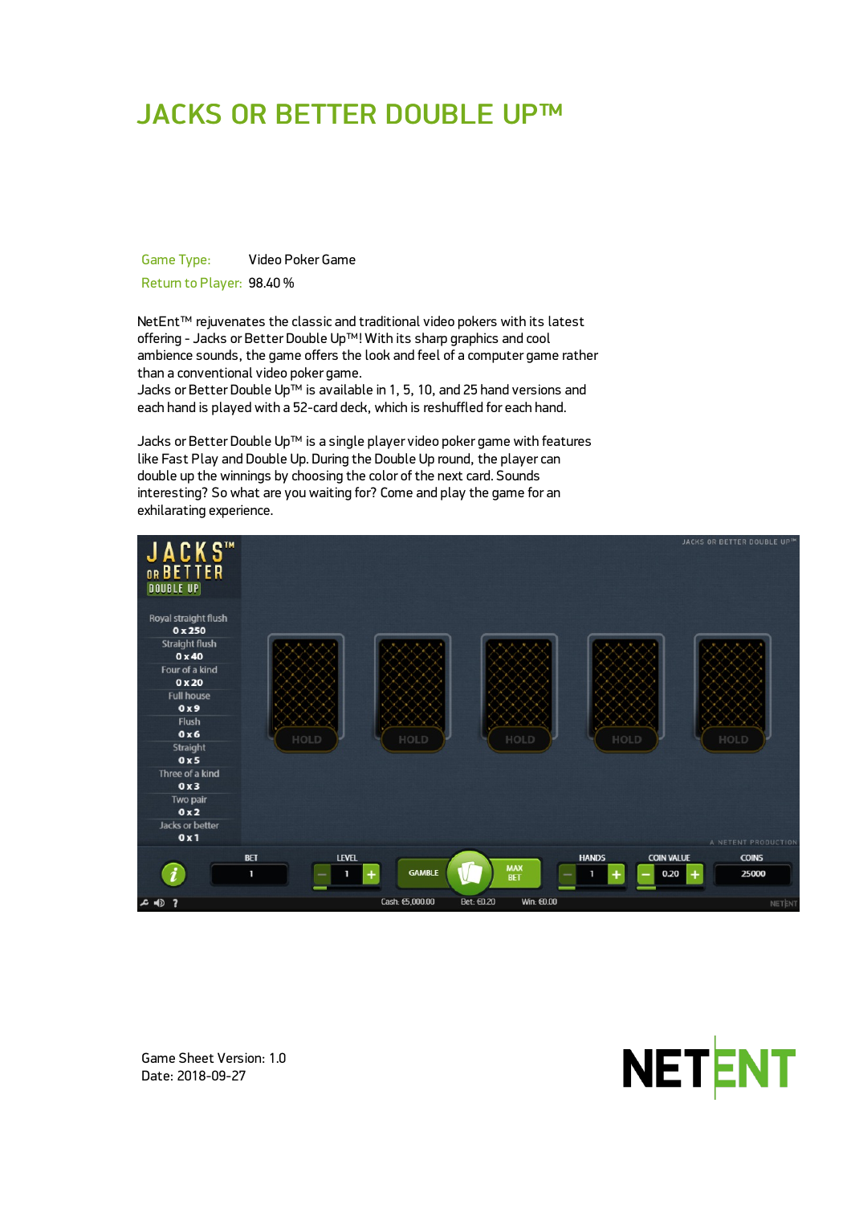# JACKS OR BETTER DOUBLE UP™

Game Type: Video Poker Game Return to Player: 98.40 %

NetEnt<sup>™</sup> rejuvenates the classic and traditional video pokers with its latest offering - Jacks or Better Double Up™! With its sharp graphics and cool ambience sounds, the game offers the look and feel of a computer game rather than a conventional video poker game.

Jacks or Better Double Up™ is available in 1, 5, 10, and 25 hand versions and each hand is played with a 52-card deck, which is reshuffled for each hand.

Jacks or Better Double Up™ is a single player video poker game with features like Fast Play and Double Up. During the Double Up round, the player can double up the winnings by choosing the color of the next card. Sounds interesting? So what are you waiting for? Come and play the game for an exhilarating experience.





Game Sheet Version: 1.0 Date: 2018-09-27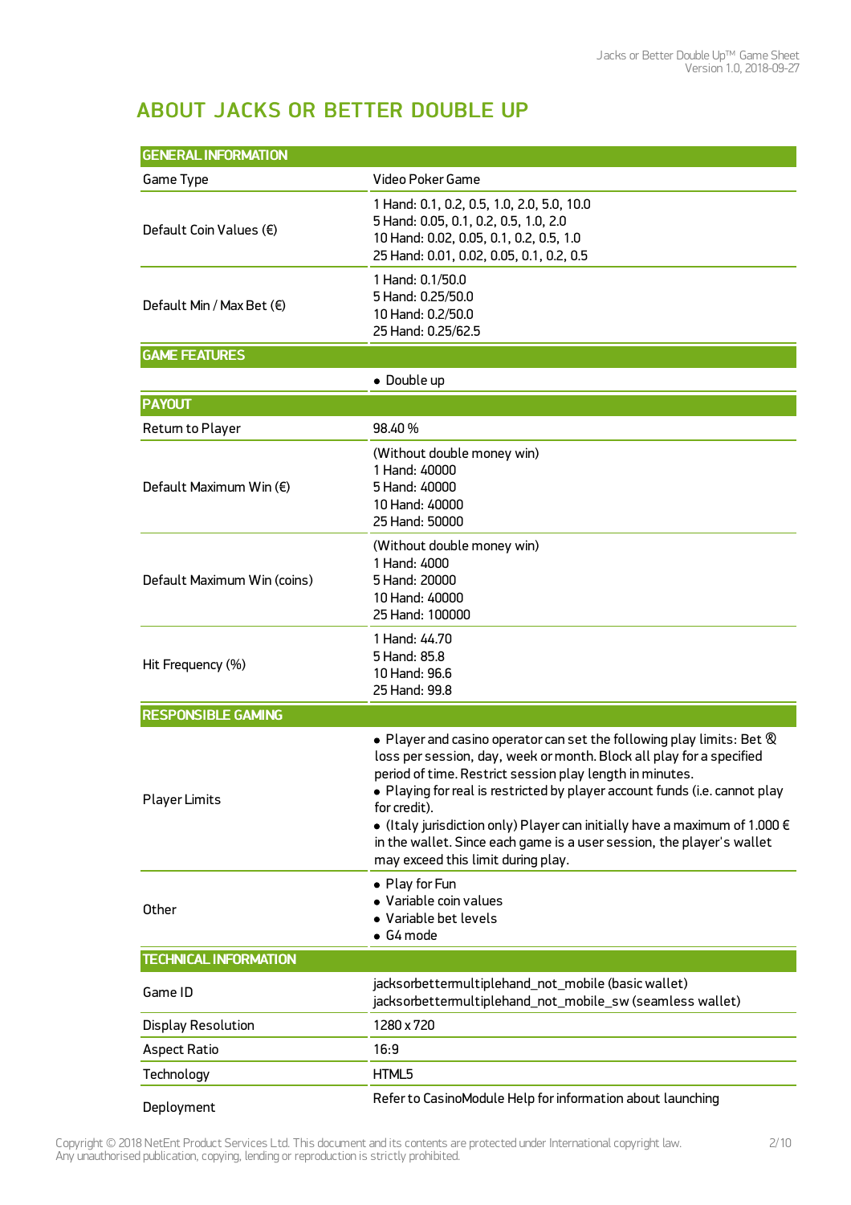## ABOUT JACKS OR BETTER DOUBLE UP

| <b>GENERAL INFORMATION</b>         |                                                                                                                                                                                                                                                                                                                                                                                                                                                                                                                                  |  |  |
|------------------------------------|----------------------------------------------------------------------------------------------------------------------------------------------------------------------------------------------------------------------------------------------------------------------------------------------------------------------------------------------------------------------------------------------------------------------------------------------------------------------------------------------------------------------------------|--|--|
| Game Type                          | Video Poker Game                                                                                                                                                                                                                                                                                                                                                                                                                                                                                                                 |  |  |
| Default Coin Values $(\epsilon)$   | 1 Hand: 0.1, 0.2, 0.5, 1.0, 2.0, 5.0, 10.0<br>5 Hand: 0.05, 0.1, 0.2, 0.5, 1.0, 2.0<br>10 Hand: 0.02, 0.05, 0.1, 0.2, 0.5, 1.0<br>25 Hand: 0.01, 0.02, 0.05, 0.1, 0.2, 0.5                                                                                                                                                                                                                                                                                                                                                       |  |  |
| Default Min / Max Bet $(\epsilon)$ | 1 Hand: 0.1/50.0<br>5 Hand: 0.25/50.0<br>10 Hand: 0.2/50.0<br>25 Hand: 0.25/62.5                                                                                                                                                                                                                                                                                                                                                                                                                                                 |  |  |
| <b>GAME FEATURES</b>               |                                                                                                                                                                                                                                                                                                                                                                                                                                                                                                                                  |  |  |
|                                    | • Double up                                                                                                                                                                                                                                                                                                                                                                                                                                                                                                                      |  |  |
| <b>PAYOUT</b>                      |                                                                                                                                                                                                                                                                                                                                                                                                                                                                                                                                  |  |  |
| Return to Player                   | 98.40%                                                                                                                                                                                                                                                                                                                                                                                                                                                                                                                           |  |  |
| Default Maximum Win (€)            | (Without double money win)<br>1 Hand: 40000<br>5 Hand: 40000<br>10 Hand: 40000<br>25 Hand: 50000                                                                                                                                                                                                                                                                                                                                                                                                                                 |  |  |
| Default Maximum Win (coins)        | (Without double money win)<br>1 Hand: 4000<br>5 Hand: 20000<br>10 Hand: 40000<br>25 Hand: 100000                                                                                                                                                                                                                                                                                                                                                                                                                                 |  |  |
| Hit Frequency (%)                  | 1 Hand: 44.70<br>5 Hand: 85.8<br>10 Hand: 96.6<br>25 Hand: 99.8                                                                                                                                                                                                                                                                                                                                                                                                                                                                  |  |  |
| <b>RESPONSIBLE GAMING</b>          |                                                                                                                                                                                                                                                                                                                                                                                                                                                                                                                                  |  |  |
| <b>Player Limits</b>               | $\bullet$ Player and casino operator can set the following play limits: Bet $\otimes$<br>loss per session, day, week or month. Block all play for a specified<br>period of time. Restrict session play length in minutes.<br>• Playing for real is restricted by player account funds (i.e. cannot play<br>for credit).<br>$\bullet$ (Italy jurisdiction only) Player can initially have a maximum of 1.000 $\in$<br>in the wallet. Since each game is a user session, the player's wallet<br>may exceed this limit during play. |  |  |
| Other                              | • Play for Fun<br>· Variable coin values<br>• Variable bet levels<br>$\bullet$ G4 mode                                                                                                                                                                                                                                                                                                                                                                                                                                           |  |  |
| <b>TECHNICAL INFORMATION</b>       |                                                                                                                                                                                                                                                                                                                                                                                                                                                                                                                                  |  |  |
| Game ID                            | jacksorbettermultiplehand_not_mobile (basic wallet)<br>jacksorbettermultiplehand_not_mobile_sw (seamless wallet)                                                                                                                                                                                                                                                                                                                                                                                                                 |  |  |
| <b>Display Resolution</b>          | 1280 x 720                                                                                                                                                                                                                                                                                                                                                                                                                                                                                                                       |  |  |
| <b>Aspect Ratio</b>                | 16:9                                                                                                                                                                                                                                                                                                                                                                                                                                                                                                                             |  |  |
| Technology                         | HTML5                                                                                                                                                                                                                                                                                                                                                                                                                                                                                                                            |  |  |
| Deployment                         | Refer to CasinoModule Help for information about launching                                                                                                                                                                                                                                                                                                                                                                                                                                                                       |  |  |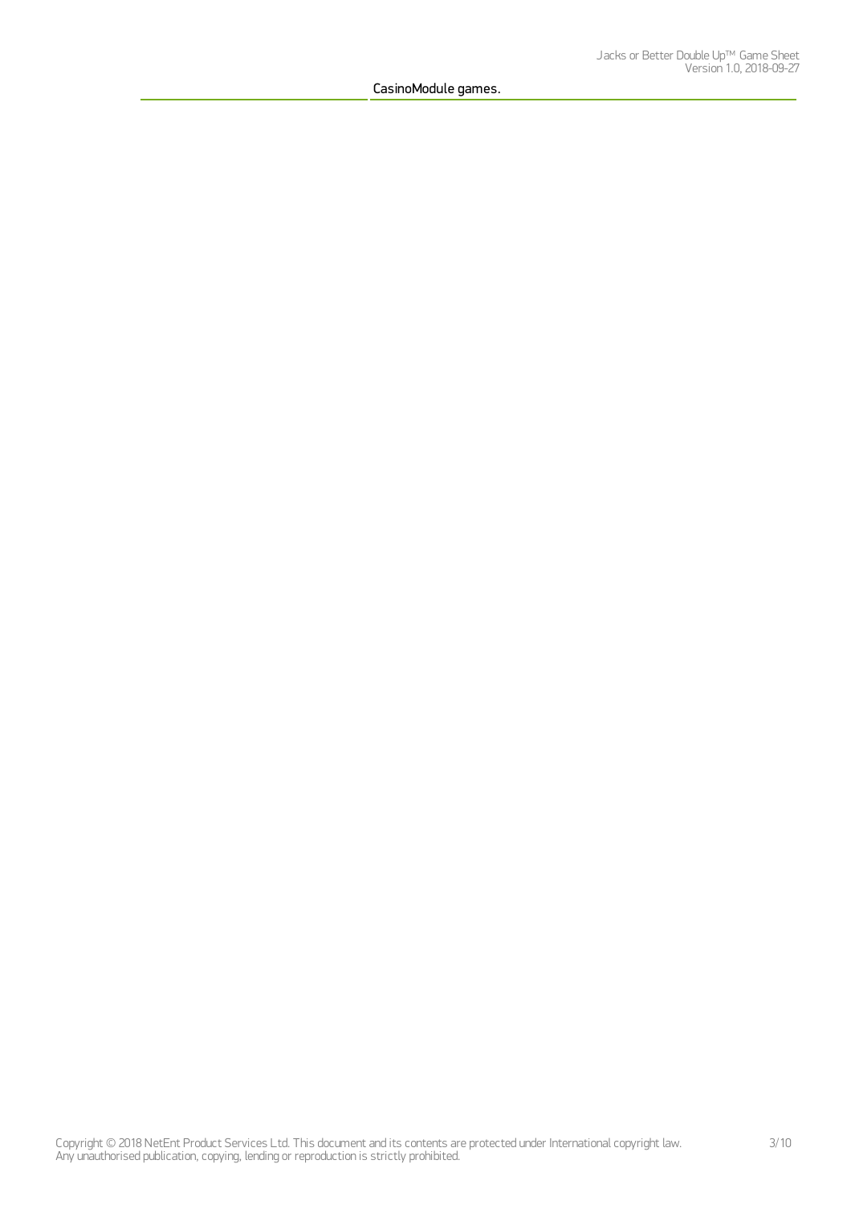CasinoModule games.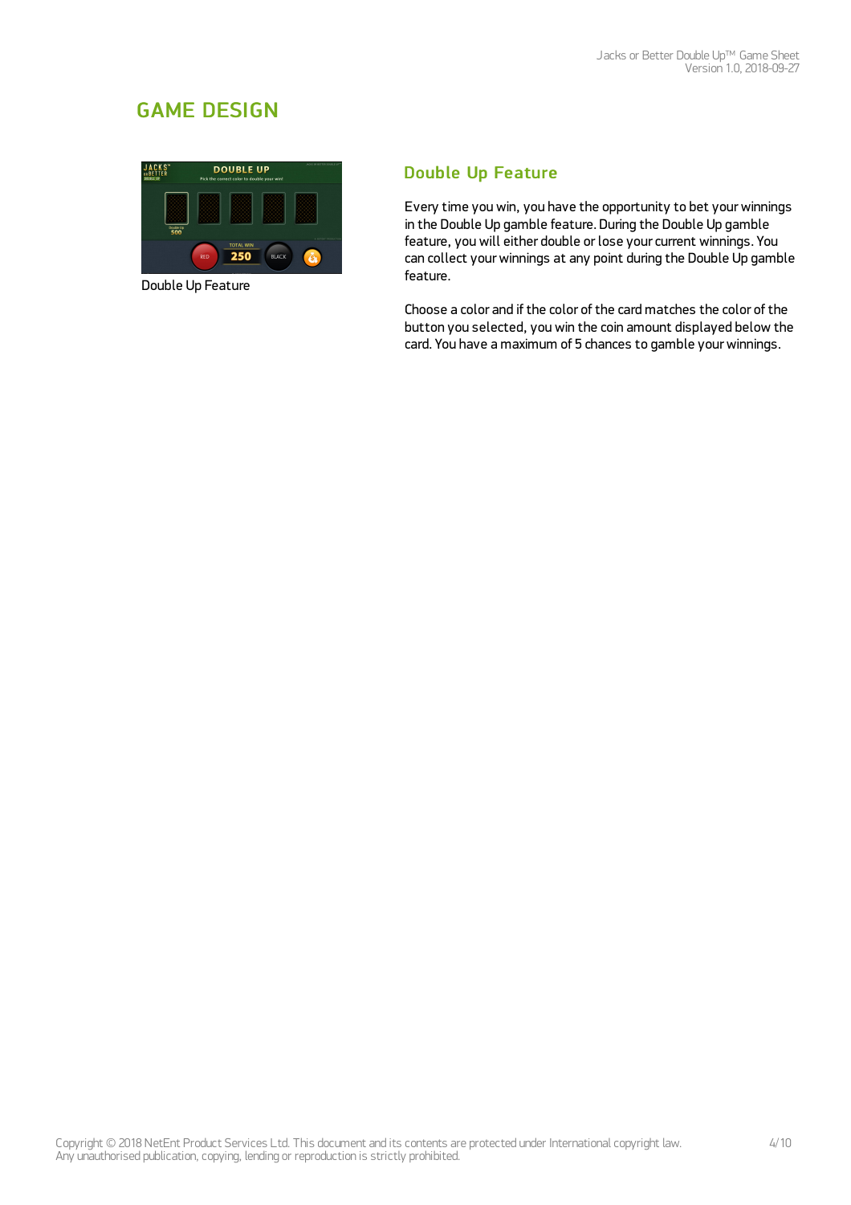## GAME DESIGN



Double Up Feature

## Double Up Feature

Every time you win, you have the opportunity to bet your winnings in the Double Up gamble feature. During the Double Up gamble feature, you will either double or lose your current winnings. You can collect yourwinnings at any point during the Double Up gamble feature.

Choose a color and if the color of the card matches the color of the button you selected, you win the coin amount displayed below the card. You have a maximum of 5 chances to gamble yourwinnings.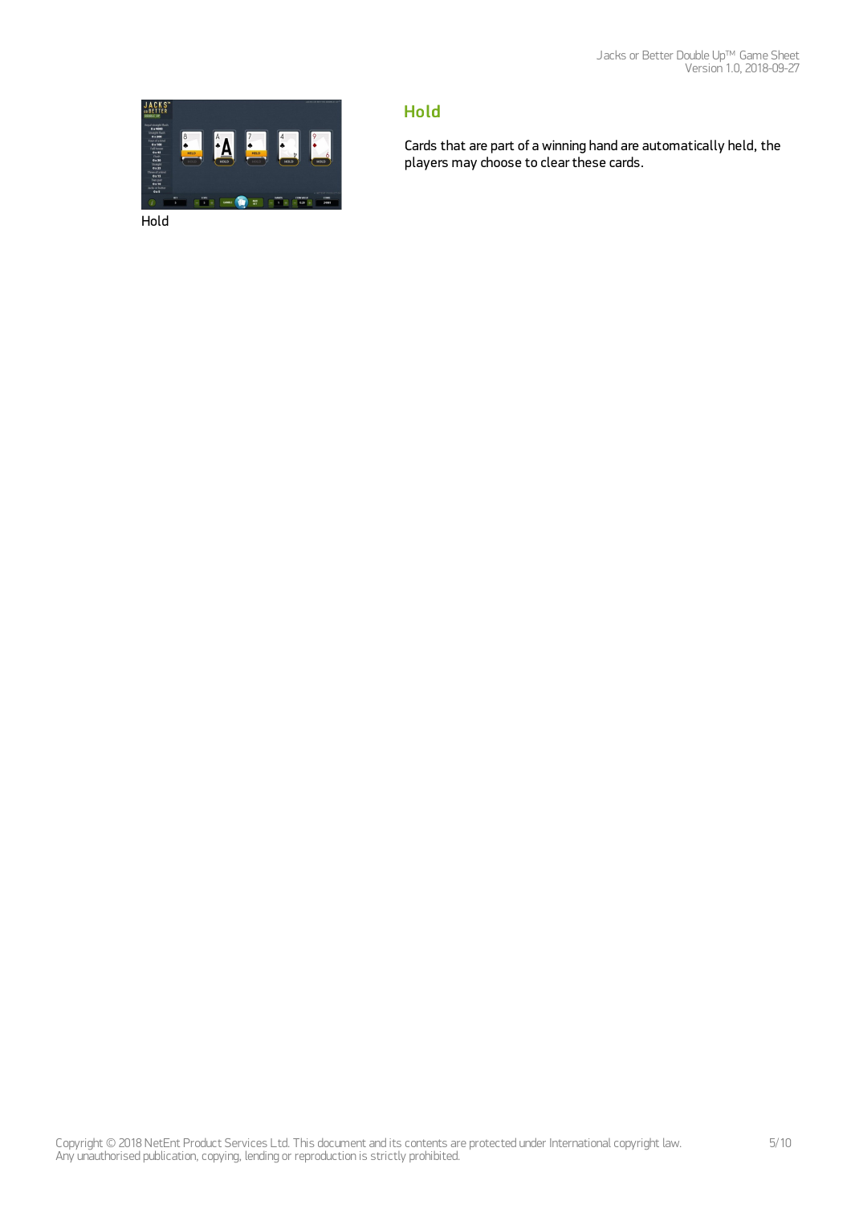

## Hold

Cards that are part of a winning hand are automatically held, the players may choose to clear these cards.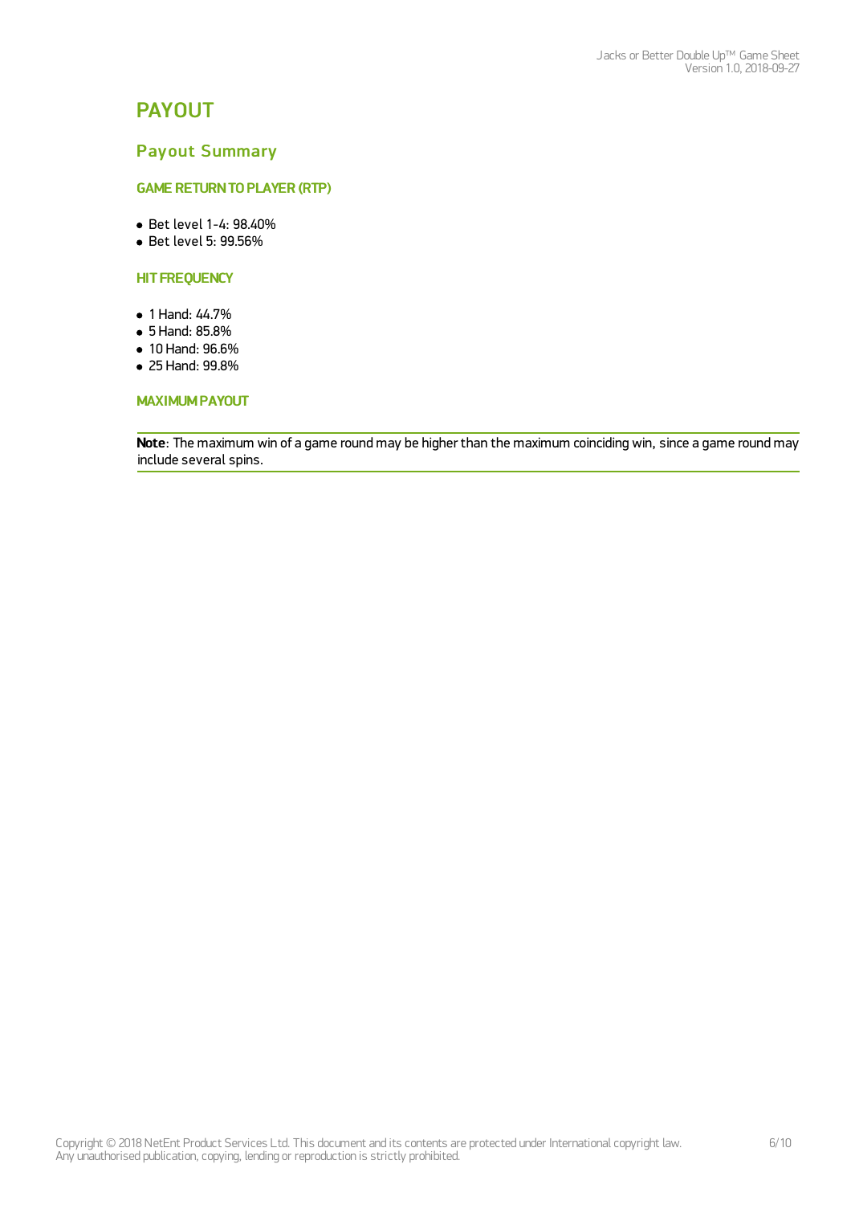## PAYOUT

### Payout Summary

#### **GAME RETURN TO PLAYER (RTP)**

- Bet level 1-4: 98.40%
- Bet level 5: 99.56%

#### **HIT FREQUENCY**

- 1 Hand: 44.7%
- 5 Hand: 85.8%
- 10 Hand: 96.6%
- 25 Hand: 99.8%

#### MAXIMUM PAYOUT

Note: The maximum win of a game round may be higher than the maximum coinciding win, since a game round may include several spins.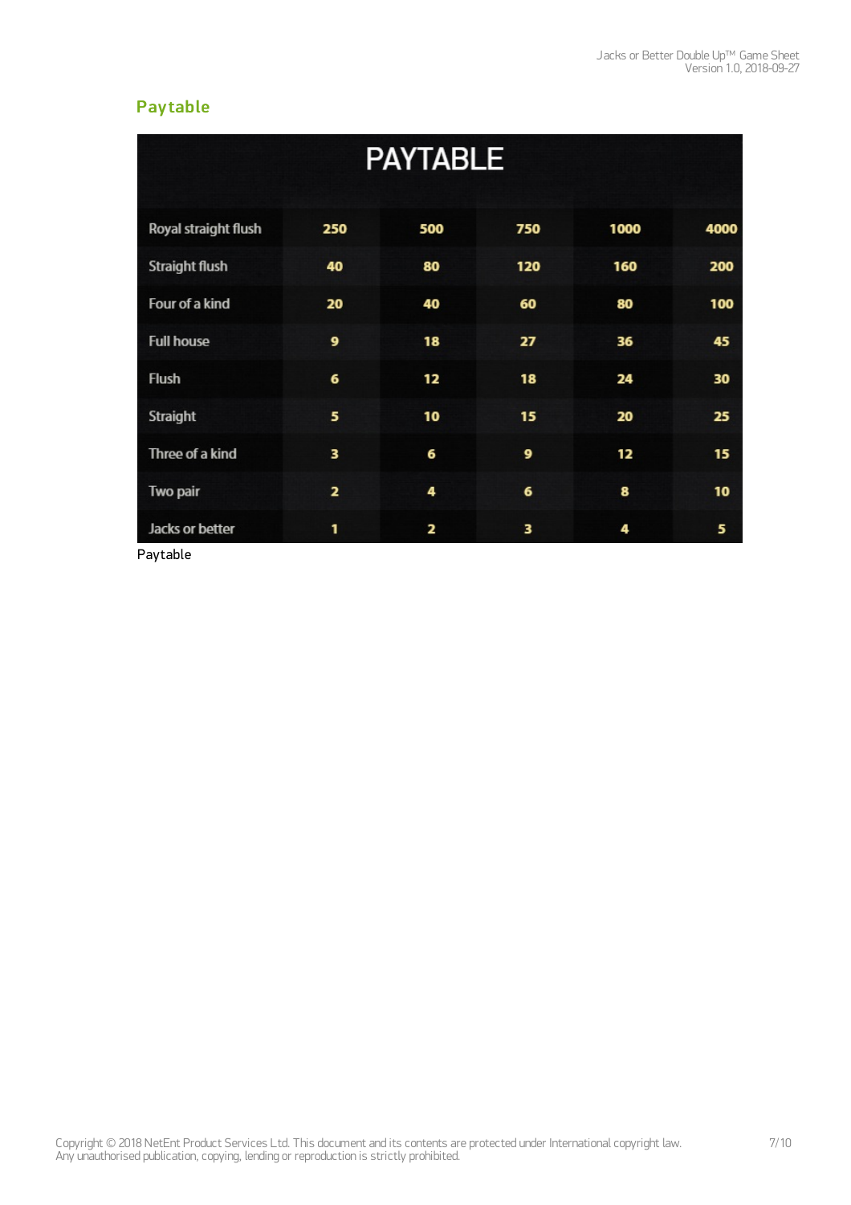## **Paytable**

| <b>PAYTABLE</b>      |                         |     |     |      |      |  |
|----------------------|-------------------------|-----|-----|------|------|--|
| Royal straight flush | 250                     | 500 | 750 | 1000 | 4000 |  |
| Straight flush       | 40                      | 80  | 120 | 160  | 200  |  |
| Four of a kind       | 20                      | 40  | 60  | 80   | 100  |  |
| <b>Full house</b>    | 9                       | 18  | 27  | 36   | 45   |  |
| Flush                | 6                       | 12  | 18  | 24   | 30   |  |
| Straight             | 5                       | 10  | 15  | 20   | 25   |  |
| Three of a kind      | 3                       | 6   | 9   | 12   | 15   |  |
| Two pair             | $\overline{\mathbf{z}}$ | 4   | 6   | 8    | 10   |  |
| Jacks or better      | 1                       | 2   | 3   | 4    | 5    |  |

Paytable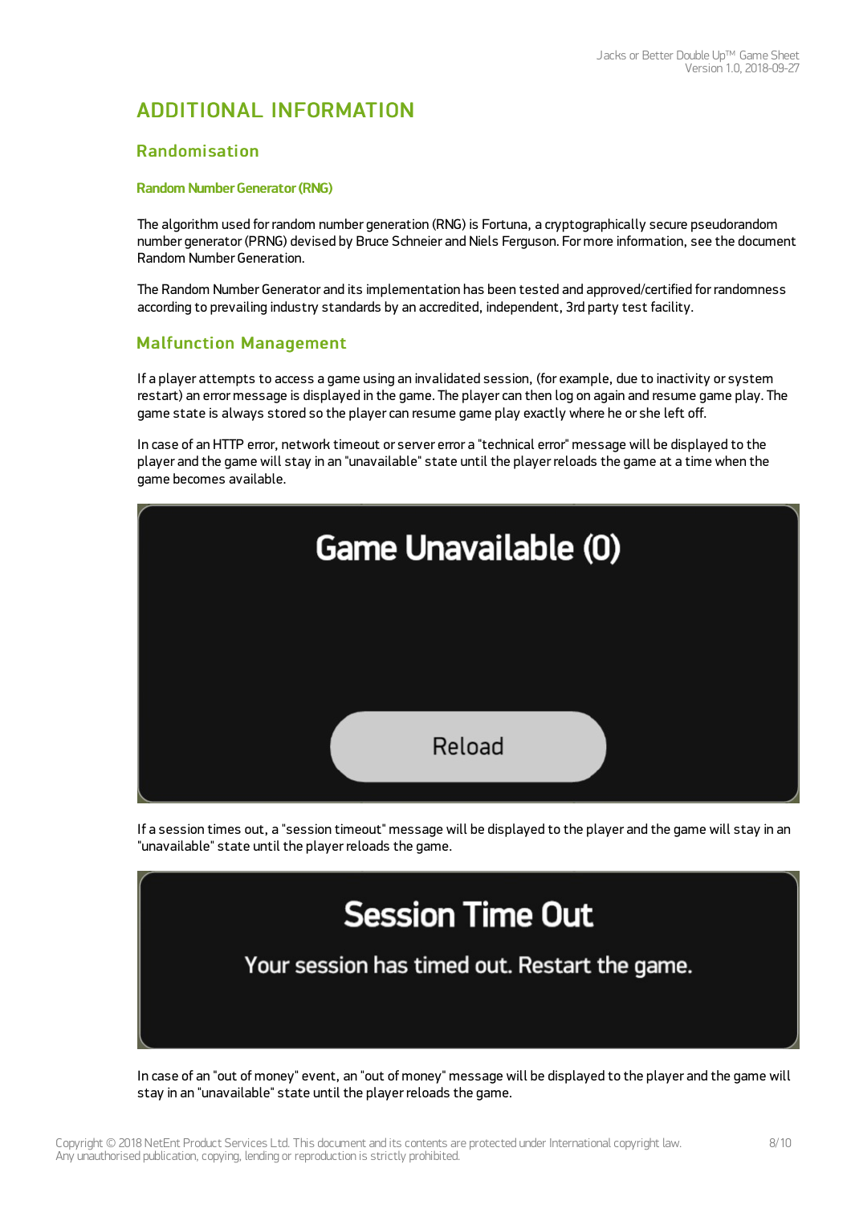## ADDITIONAL INFORMATION

### Randomisation

#### Random Number Generator (RNG)

The algorithm used for random number generation (RNG) is Fortuna, a cryptographically secure pseudorandom number generator (PRNG) devised by Bruce Schneier and Niels Ferguson. For more information, see the document Random Number Generation.

The Random Number Generator and its implementation has been tested and approved/certified for randomness according to prevailing industry standards by an accredited, independent, 3rd party test facility.

## Malfunction Management

If a player attempts to access a game using an invalidated session, (for example, due to inactivity or system restart) an error message is displayed in the game. The player can then log on again and resume game play. The game state is always stored so the player can resume game play exactly where he or she left off.

In case of an HTTP error, network timeout or server error a "technical error" message will be displayed to the player and the game will stay in an "unavailable" state until the player reloads the game at a time when the game becomes available.



If a session times out, a "session timeout" message will be displayed to the player and the game will stay in an "unavailable" state until the player reloads the game.



In case of an "out of money" event, an "out of money" message will be displayed to the player and the game will stay in an "unavailable" state until the player reloads the game.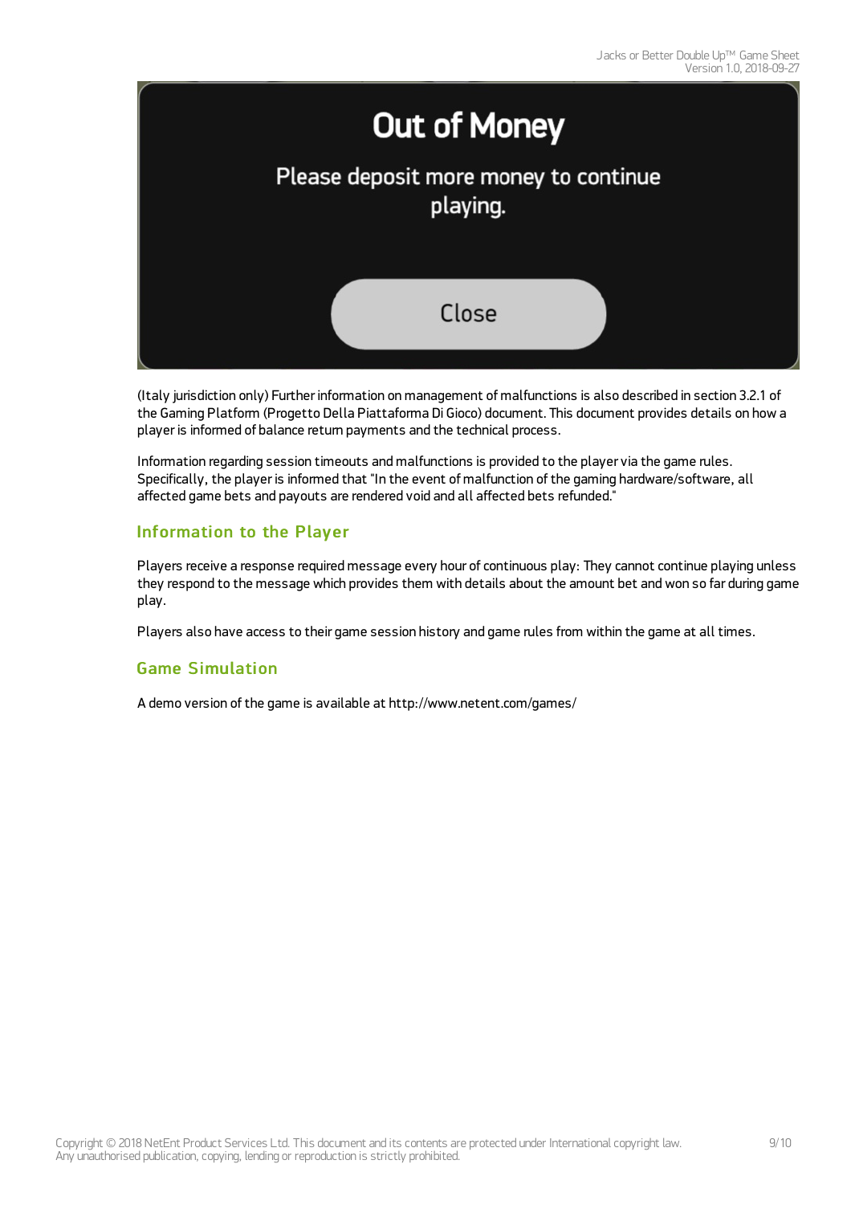

(Italy jurisdiction only) Further information on management of malfunctions is also described in section 3.2.1 of the Gaming Platform (Progetto Della Piattaforma Di Gioco) document. This document provides details on how a player is informed of balance return payments and the technical process.

Information regarding session timeouts and malfunctions is provided to the player via the game rules. Specifically, the player is informed that "In the event of malfunction of the gaming hardware/software, all affected game bets and payouts are rendered void and all affected bets refunded."

### Information to the Player

Players receive a response required message every hour of continuous play: They cannot continue playing unless they respond to the message which provides them with details about the amount bet and won so far during game play.

Players also have access to their game session history and game rules from within the game at all times.

### Game Simulation

A demo version of the game is available at <http://www.netent.com/games/>